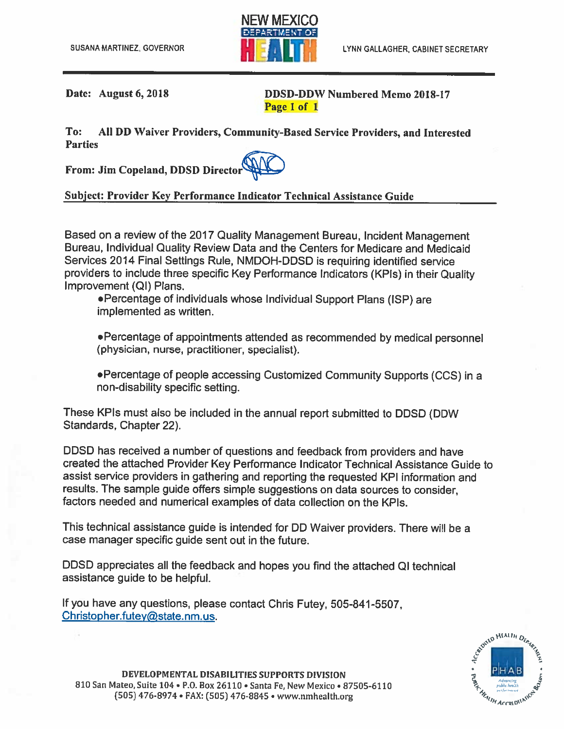

Date: August 6, 2018

**DDSD-DDW Numbered Memo 2018-17** Page 1 of 1

To: All DD Waiver Providers, Community-Based Service Providers, and Interested **Parties** 

From: Jim Copeland, DDSD Director

## Subject: Provider Key Performance Indicator Technical Assistance Guide

Based on a review of the 2017 Quality Management Bureau, Incident Management Bureau, Individual Quality Review Data and the Centers for Medicare and Medicaid Services 2014 Final Settings Rule, NMDOH-DDSD is requiring identified service providers to include three specific Key Performance Indicators (KPIs) in their Quality Improvement (QI) Plans.

•Percentage of individuals whose Individual Support Plans (ISP) are implemented as written.

•Percentage of appointments attended as recommended by medical personnel (physician, nurse, practitioner, specialist).

. Percentage of people accessing Customized Community Supports (CCS) in a non-disability specific setting.

These KPIs must also be included in the annual report submitted to DDSD (DDW) Standards, Chapter 22).

DDSD has received a number of questions and feedback from providers and have created the attached Provider Key Performance Indicator Technical Assistance Guide to assist service providers in gathering and reporting the requested KPI information and results. The sample guide offers simple suggestions on data sources to consider. factors needed and numerical examples of data collection on the KPIs.

This technical assistance guide is intended for DD Waiver providers. There will be a case manager specific guide sent out in the future.

DDSD appreciates all the feedback and hopes you find the attached QI technical assistance guide to be helpful.

If you have any questions, please contact Chris Futey, 505-841-5507. Christopher.futey@state.nm.us.

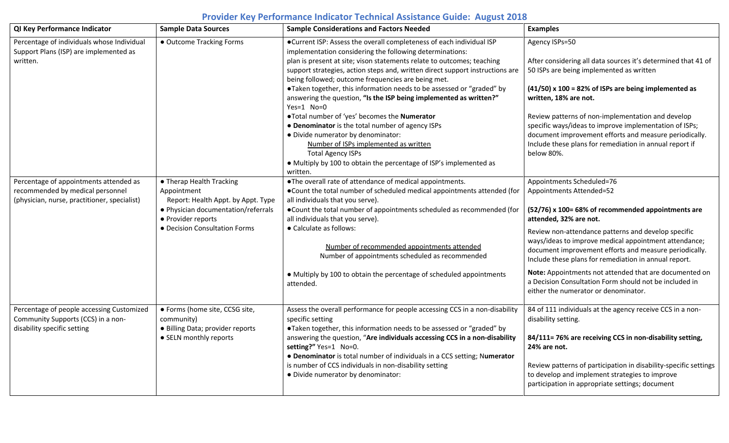## **Provider Key Performance Indicator Technical Assistance Guide: August 2018**

| QI Key Performance Indicator                                                                                               | <b>Sample Data Sources</b>                                                                                                                                                  | <b>Sample Considerations and Factors Needed</b>                                                                                                                                                                                                                                                                                                                                                                                                                                                                                                                                                                                                                                                                                                                                                                    | <b>Examples</b>                                                                                                                                                                                                                                                                                                                                                                                                                                                                                                                      |
|----------------------------------------------------------------------------------------------------------------------------|-----------------------------------------------------------------------------------------------------------------------------------------------------------------------------|--------------------------------------------------------------------------------------------------------------------------------------------------------------------------------------------------------------------------------------------------------------------------------------------------------------------------------------------------------------------------------------------------------------------------------------------------------------------------------------------------------------------------------------------------------------------------------------------------------------------------------------------------------------------------------------------------------------------------------------------------------------------------------------------------------------------|--------------------------------------------------------------------------------------------------------------------------------------------------------------------------------------------------------------------------------------------------------------------------------------------------------------------------------------------------------------------------------------------------------------------------------------------------------------------------------------------------------------------------------------|
| Percentage of individuals whose Individual<br>Support Plans (ISP) are implemented as<br>written.                           | • Outcome Tracking Forms                                                                                                                                                    | ●Current ISP: Assess the overall completeness of each individual ISP<br>implementation considering the following determinations:<br>plan is present at site; vison statements relate to outcomes; teaching<br>support strategies, action steps and, written direct support instructions are<br>being followed; outcome frequencies are being met.<br>•Taken together, this information needs to be assessed or "graded" by<br>answering the question, "Is the ISP being implemented as written?"<br>$Yes=1$ No=0<br>. Total number of 'yes' becomes the Numerator<br>• Denominator is the total number of agency ISPs<br>· Divide numerator by denominator:<br>Number of ISPs implemented as written<br><b>Total Agency ISPs</b><br>• Multiply by 100 to obtain the percentage of ISP's implemented as<br>written. | Agency ISPs=50<br>After considering all data sources it's determined that 41 of<br>50 ISPs are being implemented as written<br>$(41/50)$ x 100 = 82% of ISPs are being implemented as<br>written, 18% are not.<br>Review patterns of non-implementation and develop<br>specific ways/ideas to improve implementation of ISPs;<br>document improvement efforts and measure periodically.<br>Include these plans for remediation in annual report if<br>below 80%.                                                                     |
| Percentage of appointments attended as<br>recommended by medical personnel<br>(physician, nurse, practitioner, specialist) | • Therap Health Tracking<br>Appointment<br>Report: Health Appt. by Appt. Type<br>• Physician documentation/referrals<br>• Provider reports<br>• Decision Consultation Forms | •The overall rate of attendance of medical appointments.<br>. Count the total number of scheduled medical appointments attended (for<br>all individuals that you serve).<br>. Count the total number of appointments scheduled as recommended (for<br>all individuals that you serve).<br>• Calculate as follows:<br>Number of recommended appointments attended<br>Number of appointments scheduled as recommended<br>• Multiply by 100 to obtain the percentage of scheduled appointments<br>attended.                                                                                                                                                                                                                                                                                                           | Appointments Scheduled=76<br>Appointments Attended=52<br>(52/76) x 100= 68% of recommended appointments are<br>attended, 32% are not.<br>Review non-attendance patterns and develop specific<br>ways/ideas to improve medical appointment attendance;<br>document improvement efforts and measure periodically.<br>Include these plans for remediation in annual report.<br>Note: Appointments not attended that are documented on<br>a Decision Consultation Form should not be included in<br>either the numerator or denominator. |
| Percentage of people accessing Customized<br>Community Supports (CCS) in a non-<br>disability specific setting             | · Forms (home site, CCSG site,<br>community)<br>· Billing Data; provider reports<br>• SELN monthly reports                                                                  | Assess the overall performance for people accessing CCS in a non-disability<br>specific setting<br>•Taken together, this information needs to be assessed or "graded" by<br>answering the question, "Are individuals accessing CCS in a non-disability<br>setting?" Yes=1 No=0.<br>• Denominator is total number of individuals in a CCS setting; Numerator<br>is number of CCS individuals in non-disability setting<br>· Divide numerator by denominator:                                                                                                                                                                                                                                                                                                                                                        | 84 of 111 individuals at the agency receive CCS in a non-<br>disability setting.<br>84/111=76% are receiving CCS in non-disability setting,<br>24% are not.<br>Review patterns of participation in disability-specific settings<br>to develop and implement strategies to improve<br>participation in appropriate settings; document                                                                                                                                                                                                 |